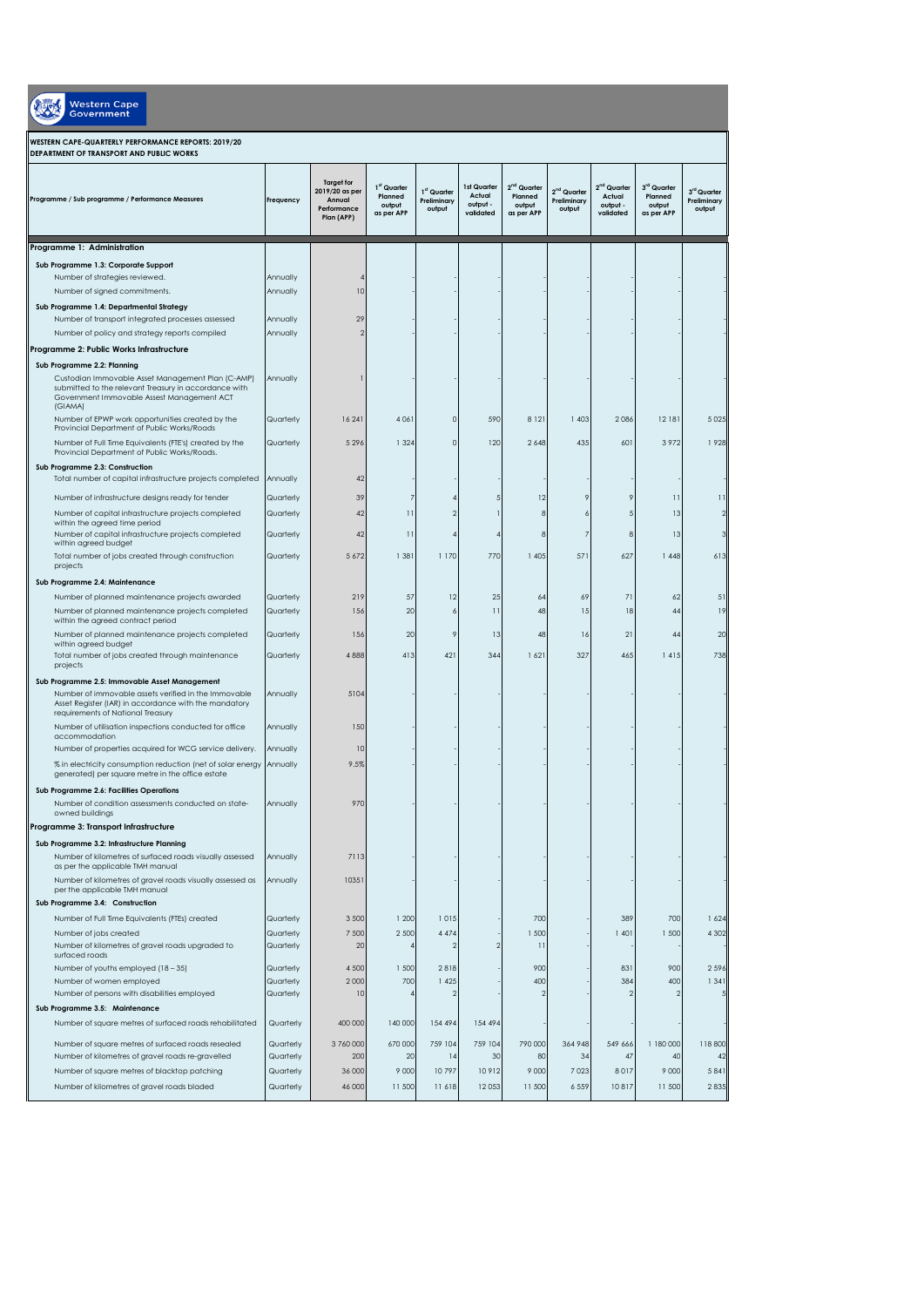| <b>Western Cape</b><br>Government                                                                                                                                                                                                              |                        |                                                                            |                                                            |                                      |                                                |                                                            |                                                  |                                                            |                                                |                                      |
|------------------------------------------------------------------------------------------------------------------------------------------------------------------------------------------------------------------------------------------------|------------------------|----------------------------------------------------------------------------|------------------------------------------------------------|--------------------------------------|------------------------------------------------|------------------------------------------------------------|--------------------------------------------------|------------------------------------------------------------|------------------------------------------------|--------------------------------------|
| WESTERN CAPE-QUARTERLY PERFORMANCE REPORTS: 2019/20<br>DEPARTMENT OF TRANSPORT AND PUBLIC WORKS                                                                                                                                                |                        |                                                                            |                                                            |                                      |                                                |                                                            |                                                  |                                                            |                                                |                                      |
| Programme / Sub programme / Performance Measures                                                                                                                                                                                               | Frequency              | <b>Target for</b><br>2019/20 as per<br>Annual<br>Performance<br>Plan (APP) | 1 <sup>st</sup> Quarter<br>Planned<br>output<br>as per APP | 1st Quarter<br>Preliminary<br>output | 1st Quarter<br>Actual<br>output -<br>validated | 2 <sup>nd</sup> Quarter<br>Planned<br>output<br>as per APP | 2 <sup>nd</sup> Quarter<br>Preliminary<br>output | 2 <sup>nd</sup> Quarter<br>Actual<br>output -<br>validated | 3rd Quarter<br>Planned<br>output<br>as per APP | 3rd Quarter<br>Preliminary<br>output |
| Programme 1: Administration                                                                                                                                                                                                                    |                        |                                                                            |                                                            |                                      |                                                |                                                            |                                                  |                                                            |                                                |                                      |
| Sub Programme 1.3: Corporate Support<br>Number of strategies reviewed.<br>Number of signed commitments.<br>Sub Programme 1.4: Departmental Strategy                                                                                            | Annually<br>Annually   | 10                                                                         |                                                            |                                      |                                                |                                                            |                                                  |                                                            |                                                |                                      |
| Number of transport integrated processes assessed                                                                                                                                                                                              | Annually               | 29                                                                         |                                                            |                                      |                                                |                                                            |                                                  |                                                            |                                                |                                      |
| Number of policy and strategy reports compiled                                                                                                                                                                                                 | Annually               |                                                                            |                                                            |                                      |                                                |                                                            |                                                  |                                                            |                                                |                                      |
| Programme 2: Public Works Infrastructure<br>Sub Programme 2.2: Planning<br>Custodian Immovable Asset Management Plan (C-AMP)<br>submitted to the relevant Treasury in accordance with<br>Government Immovable Assest Management ACT<br>(GIAMA) | Annually               |                                                                            |                                                            |                                      |                                                |                                                            |                                                  |                                                            |                                                |                                      |
| Number of EPWP work opportunities created by the<br>Provincial Department of Public Works/Roads                                                                                                                                                | Quarterly              | 16 24 1                                                                    | 4 0 6 1                                                    | $\circ$                              | 590                                            | 8 1 2 1                                                    | 1403                                             | 2086                                                       | 12 18 1                                        | 5 0 2 5                              |
| Number of Full Time Equivalents (FTE's) created by the<br>Provincial Department of Public Works/Roads.                                                                                                                                         | Quarterly              | 5296                                                                       | 1 3 2 4                                                    | $\overline{0}$                       | 120                                            | 2 6 4 8                                                    | 435                                              | 601                                                        | 3972                                           | 1928                                 |
| Sub Programme 2.3: Construction<br>Total number of capital infrastructure projects completed                                                                                                                                                   | Annually               | 42                                                                         |                                                            |                                      |                                                |                                                            |                                                  |                                                            |                                                |                                      |
| Number of infrastructure designs ready for tender                                                                                                                                                                                              | Quarterly              | 39                                                                         |                                                            |                                      |                                                | 12                                                         |                                                  | 9                                                          | $\overline{\mathbf{1}}$                        | $\overline{11}$                      |
| Number of capital infrastructure projects completed<br>within the agreed time period                                                                                                                                                           | Quarterly              | 42                                                                         | $\overline{11}$                                            | $\mathcal{P}$                        |                                                | 8                                                          |                                                  | 5                                                          | 13                                             | $\mathcal{D}$                        |
| Number of capital infrastructure projects completed<br>within agreed budget                                                                                                                                                                    | Quarterly              | 42                                                                         | $\overline{11}$                                            |                                      |                                                | 8                                                          |                                                  | 8                                                          | 13                                             | 3                                    |
| Total number of jobs created through construction<br>projects                                                                                                                                                                                  | Quarterly              | 5 6 7 2                                                                    | 1 381                                                      | 1 170                                | 770                                            | 1 4 0 5                                                    | 571                                              | 627                                                        | 1448                                           | 613                                  |
| Sub Programme 2.4: Maintenance                                                                                                                                                                                                                 |                        |                                                                            |                                                            |                                      |                                                |                                                            |                                                  |                                                            |                                                |                                      |
| Number of planned maintenance projects awarded<br>Number of planned maintenance projects completed                                                                                                                                             | Quarterly<br>Quarterly | 219<br>156                                                                 | 57<br>20                                                   | 12<br>6                              | 25<br>$\overline{\phantom{0}}$                 | 64<br>48                                                   | 69<br>15                                         | 71<br>18                                                   | 62<br>44                                       | 51<br>19                             |
| within the agreed contract period                                                                                                                                                                                                              |                        |                                                                            |                                                            |                                      |                                                |                                                            |                                                  |                                                            |                                                |                                      |
| Number of planned maintenance projects completed<br>within agreed budget                                                                                                                                                                       | Quarterly              | 156                                                                        | 20                                                         | 9                                    | 13                                             | 48                                                         | 16                                               | 21                                                         | 44                                             | 20                                   |
| Total number of jobs created through maintenance<br>projects                                                                                                                                                                                   | Quarterly              | 4888                                                                       | 413                                                        | 421                                  | 344                                            | 1621                                                       | 327                                              | 465                                                        | 1415                                           | 738                                  |
| Sub Programme 2.5: Immovable Asset Management<br>Number of immovable assets verified in the Immovable<br>Asset Register (IAR) in accordance with the mandatory<br>requirements of National Treasury                                            | Annually               | 5104                                                                       |                                                            |                                      |                                                |                                                            |                                                  |                                                            |                                                |                                      |
| Number of utilisation inspections conducted for office<br>accommodation                                                                                                                                                                        | Annually               | 150                                                                        |                                                            |                                      |                                                |                                                            |                                                  |                                                            |                                                |                                      |
| Number of properties acquired for WCG service delivery.                                                                                                                                                                                        | Annually               | 10                                                                         |                                                            |                                      |                                                |                                                            |                                                  |                                                            |                                                |                                      |
| % in electricity consumption reduction (net of solar energy<br>generated) per square metre in the office estate                                                                                                                                | Annually               | 9.5%                                                                       |                                                            |                                      |                                                |                                                            |                                                  |                                                            |                                                |                                      |
| Sub Programme 2.6: Facilities Operations<br>Number of condition assessments conducted on state-<br>owned buildings                                                                                                                             | Annually               | 970                                                                        |                                                            |                                      |                                                |                                                            |                                                  |                                                            |                                                |                                      |
| Programme 3: Transport Infrastructure                                                                                                                                                                                                          |                        |                                                                            |                                                            |                                      |                                                |                                                            |                                                  |                                                            |                                                |                                      |
| Sub Programme 3.2: Infrastructure Planning<br>Number of kilometres of surfaced roads visually assessed<br>as per the applicable TMH manual                                                                                                     | Annually               | 7113                                                                       |                                                            |                                      |                                                |                                                            |                                                  |                                                            |                                                |                                      |
| Number of kilometres of gravel roads visually assessed as<br>per the applicable TMH manual                                                                                                                                                     | Annually               | 10351                                                                      |                                                            |                                      |                                                |                                                            |                                                  |                                                            |                                                |                                      |
| Sub Programme 3.4: Construction                                                                                                                                                                                                                |                        |                                                                            |                                                            |                                      |                                                |                                                            |                                                  |                                                            |                                                |                                      |
| Number of Full Time Equivalents (FTEs) created<br>Number of jobs created                                                                                                                                                                       | Quarterly<br>Quarterly | 3 500<br>7 500                                                             | 1200<br>2 500                                              | 1015<br>4 4 7 4                      |                                                | 700<br>1 500                                               |                                                  | 389<br>1401                                                | 700<br>1 500                                   | 1624<br>4 3 0 2                      |
| Number of kilometres of gravel roads upgraded to                                                                                                                                                                                               | Quarterly              | 20                                                                         |                                                            | $\mathcal{P}$                        |                                                | П                                                          |                                                  |                                                            |                                                |                                      |
| surfaced roads<br>Number of youths employed (18 - 35)                                                                                                                                                                                          | Quarterly              | 4 500                                                                      | 1 500                                                      | 2818                                 |                                                | 900                                                        |                                                  | 831                                                        | 900                                            | 2596                                 |
| Number of women employed                                                                                                                                                                                                                       | Quarterly              | 2 0 0 0                                                                    | 700                                                        | 1 4 2 5                              |                                                | 400                                                        |                                                  | 384                                                        | 400                                            | 1 3 4 1                              |
| Number of persons with disabilities employed                                                                                                                                                                                                   | Quarterly              | 10                                                                         |                                                            |                                      |                                                | 2                                                          |                                                  |                                                            | $\overline{2}$                                 |                                      |
| Sub Programme 3.5: Maintenance<br>Number of square metres of surfaced roads rehabilitated                                                                                                                                                      | Quarterly              | 400 000                                                                    | 140 000                                                    | 154 494                              | 154 494                                        |                                                            |                                                  |                                                            |                                                |                                      |
| Number of square metres of surfaced roads resealed                                                                                                                                                                                             | Quarterly              | 3760000                                                                    | 670 000                                                    | 759 104                              | 759 104                                        | 790 000                                                    | 364 948                                          | 549 666                                                    | 1 180 000                                      | 118 800                              |
| Number of kilometres of gravel roads re-gravelled                                                                                                                                                                                              | Quarterly              | 200                                                                        | 20<br>9 0 0 0                                              | 4<br>10797                           | 30<br>10912                                    | 80<br>9 0 0 0                                              | 34<br>7 0 2 3                                    | 47<br>8017                                                 | 40<br>9 0 0 0                                  | 42                                   |
| Number of square metres of blacktop patching<br>Number of kilometres of gravel roads bladed                                                                                                                                                    | Quarterly<br>Quarterly | 36 000<br>46 000                                                           | 11 500                                                     | 11618                                | 12053                                          | 11 500                                                     | 6 5 5 9                                          | 10817                                                      | 11 500                                         | 5841<br>2835                         |